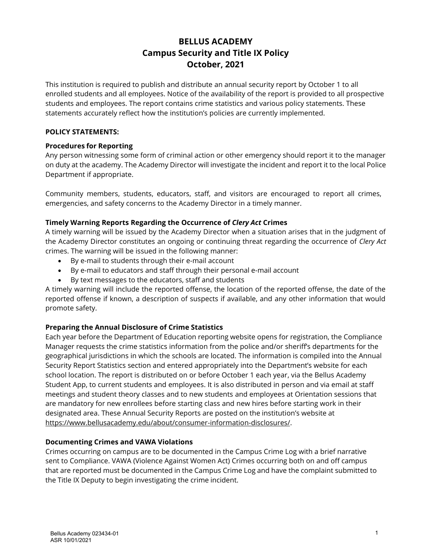# **BELLUS ACADEMY Campus Security and Title IX Policy October, 2021**

This institution is required to publish and distribute an annual security report by October 1 to all enrolled students and all employees. Notice of the availability of the report is provided to all prospective students and employees. The report contains crime statistics and various policy statements. These statements accurately reflect how the institution's policies are currently implemented.

### **POLICY STATEMENTS:**

### **Procedures for Reporting**

Any person witnessing some form of criminal action or other emergency should report it to the manager on duty at the academy. The Academy Director will investigate the incident and report it to the local Police Department if appropriate.

Community members, students, educators, staff, and visitors are encouraged to report all crimes, emergencies, and safety concerns to the Academy Director in a timely manner.

### **Timely Warning Reports Regarding the Occurrence of** *Clery Act* **Crimes**

A timely warning will be issued by the Academy Director when a situation arises that in the judgment of the Academy Director constitutes an ongoing or continuing threat regarding the occurrence of *Clery Act* crimes. The warning will be issued in the following manner:

- By e-mail to students through their e-mail account
- By e-mail to educators and staff through their personal e-mail account
- By text messages to the educators, staff and students

A timely warning will include the reported offense, the location of the reported offense, the date of the reported offense if known, a description of suspects if available, and any other information that would promote safety.

### **Preparing the Annual Disclosure of Crime Statistics**

Each year before the Department of Education reporting website opens for registration, the Compliance Manager requests the crime statistics information from the police and/or sheriff's departments for the geographical jurisdictions in which the schools are located. The information is compiled into the Annual Security Report Statistics section and entered appropriately into the Department's website for each school location. The report is distributed on or before October 1 each year, via the Bellus Academy Student App, to current students and employees. It is also distributed in person and via email at staff meetings and student theory classes and to new students and employees at Orientation sessions that are mandatory for new enrollees before starting class and new hires before starting work in their designated area. These Annual Security Reports are posted on the institution's website at [https://www.bellusacademy.edu/about/consumer-information-disclosures/.](https://www.bellusacademy.edu/about/consumer-information-disclosures/)

#### **Documenting Crimes and VAWA Violations**

Crimes occurring on campus are to be documented in the Campus Crime Log with a brief narrative sent to Compliance. VAWA (Violence Against Women Act) Crimes occurring both on and off campus that are reported must be documented in the Campus Crime Log and have the complaint submitted to the Title IX Deputy to begin investigating the crime incident.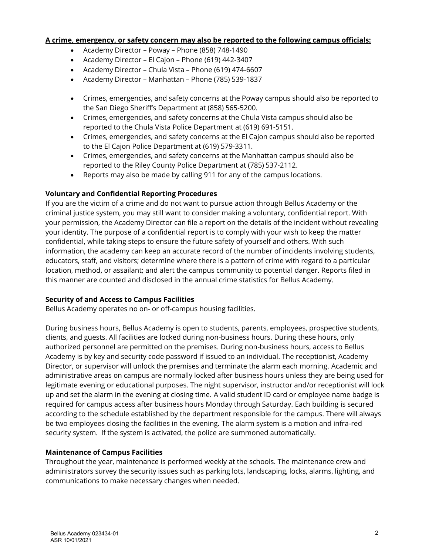#### **A crime, emergency, or safety concern may also be reported to the following campus officials:**

- Academy Director Poway Phone (858) 748-1490
- Academy Director El Cajon Phone (619) 442-3407
- Academy Director Chula Vista Phone (619) 474-6607
- Academy Director Manhattan Phone (785) 539-1837
- Crimes, emergencies, and safety concerns at the Poway campus should also be reported to the San Diego Sheriff's Department at (858) 565-5200.
- Crimes, emergencies, and safety concerns at the Chula Vista campus should also be reported to the Chula Vista Police Department at (619) 691-5151.
- Crimes, emergencies, and safety concerns at the El Cajon campus should also be reported to the El Cajon Police Department at (619) 579-3311.
- Crimes, emergencies, and safety concerns at the Manhattan campus should also be reported to the Riley County Police Department at (785) 537-2112.
- Reports may also be made by calling 911 for any of the campus locations.

### **Voluntary and Confidential Reporting Procedures**

If you are the victim of a crime and do not want to pursue action through Bellus Academy or the criminal justice system, you may still want to consider making a voluntary, confidential report. With your permission, the Academy Director can file a report on the details of the incident without revealing your identity. The purpose of a confidential report is to comply with your wish to keep the matter confidential, while taking steps to ensure the future safety of yourself and others. With such information, the academy can keep an accurate record of the number of incidents involving students, educators, staff, and visitors; determine where there is a pattern of crime with regard to a particular location, method, or assailant; and alert the campus community to potential danger. Reports filed in this manner are counted and disclosed in the annual crime statistics for Bellus Academy.

#### **Security of and Access to Campus Facilities**

Bellus Academy operates no on- or off-campus housing facilities.

During business hours, Bellus Academy is open to students, parents, employees, prospective students, clients, and guests. All facilities are locked during non-business hours. During these hours, only authorized personnel are permitted on the premises. During non-business hours, access to Bellus Academy is by key and security code password if issued to an individual. The receptionist, Academy Director, or supervisor will unlock the premises and terminate the alarm each morning. Academic and administrative areas on campus are normally locked after business hours unless they are being used for legitimate evening or educational purposes. The night supervisor, instructor and/or receptionist will lock up and set the alarm in the evening at closing time. A valid student ID card or employee name badge is required for campus access after business hours Monday through Saturday. Each building is secured according to the schedule established by the department responsible for the campus. There will always be two employees closing the facilities in the evening. The alarm system is a motion and infra-red security system. If the system is activated, the police are summoned automatically.

#### **Maintenance of Campus Facilities**

Throughout the year, maintenance is performed weekly at the schools. The maintenance crew and administrators survey the security issues such as parking lots, landscaping, locks, alarms, lighting, and communications to make necessary changes when needed.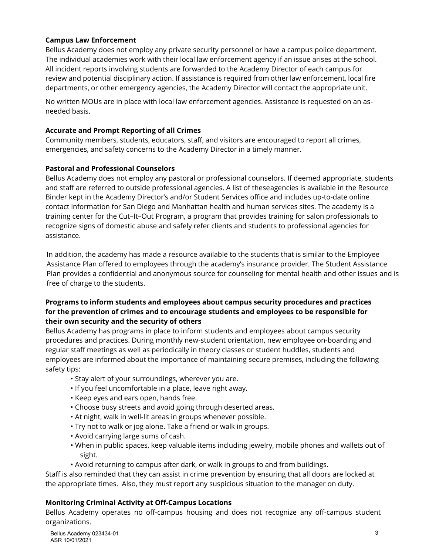### **Campus Law Enforcement**

Bellus Academy does not employ any private security personnel or have a campus police department. The individual academies work with their local law enforcement agency if an issue arises at the school. All incident reports involving students are forwarded to the Academy Director of each campus for review and potential disciplinary action. If assistance is required from other law enforcement, local fire departments, or other emergency agencies, the Academy Director will contact the appropriate unit.

No written MOUs are in place with local law enforcement agencies. Assistance is requested on an asneeded basis.

#### **Accurate and Prompt Reporting of all Crimes**

Community members, students, educators, staff, and visitors are encouraged to report all crimes, emergencies, and safety concerns to the Academy Director in a timely manner.

### **Pastoral and Professional Counselors**

Bellus Academy does not employ any pastoral or professional counselors. If deemed appropriate, students and staff are referred to outside professional agencies. A list of theseagencies is available in the Resource Binder kept in the Academy Director's and/or Student Services office and includes up-to-date online contact information for San Diego and Manhattan health and human services sites. The academy is a training center for the Cut–It–Out Program, a program that provides training for salon professionals to recognize signs of domestic abuse and safely refer clients and students to professional agencies for assistance.

In addition, the academy has made a resource available to the students that is similar to the Employee Assistance Plan offered to employees through the academy's insurance provider. The Student Assistance Plan provides a confidential and anonymous source for counseling for mental health and other issues and is free of charge to the students.

# **Programs to inform students and employees about campus security procedures and practices for the prevention of crimes and to encourage students and employees to be responsible for their own security and the security of others**

Bellus Academy has programs in place to inform students and employees about campus security procedures and practices. During monthly new-student orientation, new employee on-boarding and regular staff meetings as well as periodically in theory classes or student huddles, students and employees are informed about the importance of maintaining secure premises, including the following safety tips:

- Stay alert of your surroundings, wherever you are.
- If you feel uncomfortable in a place, leave right away.
- Keep eyes and ears open, hands free.
- Choose busy streets and avoid going through deserted areas.
- At night, walk in well-lit areas in groups whenever possible.
- Try not to walk or jog alone. Take a friend or walk in groups.
- Avoid carrying large sums of cash.
- When in public spaces, keep valuable items including jewelry, mobile phones and wallets out of sight.
- Avoid returning to campus after dark, or walk in groups to and from buildings.

Staff is also reminded that they can assist in crime prevention by ensuring that all doors are locked at the appropriate times. Also, they must report any suspicious situation to the manager on duty.

### **Monitoring Criminal Activity at Off-Campus Locations**

Bellus Academy operates no off-campus housing and does not recognize any off-campus student organizations.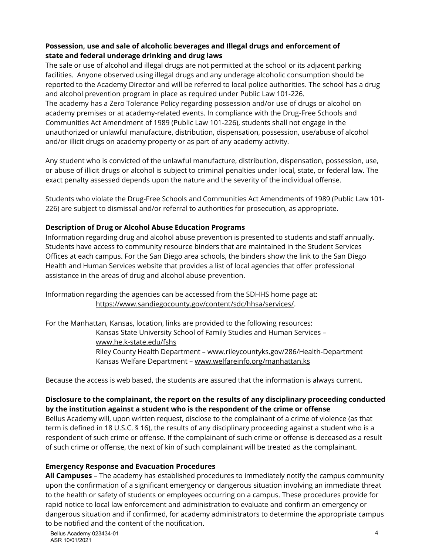# **Possession, use and sale of alcoholic beverages and Illegal drugs and enforcement of state and federal underage drinking and drug laws**

The sale or use of alcohol and illegal drugs are not permitted at the school or its adjacent parking facilities. Anyone observed using illegal drugs and any underage alcoholic consumption should be reported to the Academy Director and will be referred to local police authorities. The school has a drug and alcohol prevention program in place as required under Public Law 101-226. The academy has a Zero Tolerance Policy regarding possession and/or use of drugs or alcohol on academy premises or at academy-related events. In compliance with the Drug-Free Schools and

Communities Act Amendment of 1989 (Public Law 101-226), students shall not engage in the unauthorized or unlawful manufacture, distribution, dispensation, possession, use/abuse of alcohol and/or illicit drugs on academy property or as part of any academy activity.

Any student who is convicted of the unlawful manufacture, distribution, dispensation, possession, use, or abuse of illicit drugs or alcohol is subject to criminal penalties under local, state, or federal law. The exact penalty assessed depends upon the nature and the severity of the individual offense.

Students who violate the Drug-Free Schools and Communities Act Amendments of 1989 (Public Law 101- 226) are subject to dismissal and/or referral to authorities for prosecution, as appropriate.

# **Description of Drug or Alcohol Abuse Education Programs**

Information regarding drug and alcohol abuse prevention is presented to students and staff annually. Students have access to community resource binders that are maintained in the Student Services Offices at each campus. For the San Diego area schools, the binders show the link to the San Diego Health and Human Services website that provides a list of local agencies that offer professional assistance in the areas of drug and alcohol abuse prevention.

Information regarding the agencies can be accessed from the SDHHS home page at: [https://www.sandiegocounty.gov/content/sdc/hhsa/services/.](https://www.sandiegocounty.gov/content/sdc/hhsa/services/)

For the Manhattan, Kansas, location, links are provided to the following resources: Kansas State University School of Family Studies and Human Services – [www.he.k-state.edu/fshs](http://www.he.k-state.edu/fshs) Riley County Health Department – [www.rileycountyks.gov/286/Health-Department](http://www.rileycountyks.gov/286/Health-Department) Kansas Welfare Department – [www.welfareinfo.org/manhattan.ks](http://www.welfareinfo.org/manhattan.ks)

Because the access is web based, the students are assured that the information is always current.

# **Disclosure to the complainant, the report on the results of any disciplinary proceeding conducted by the institution against a student who is the respondent of the crime or offense**

Bellus Academy will, upon written request, disclose to the complainant of a crime of violence (as that term is defined in 18 U.S.C. § 16), the results of any disciplinary proceeding against a student who is a respondent of such crime or offense. If the complainant of such crime or offense is deceased as a result of such crime or offense, the next of kin of such complainant will be treated as the complainant.

### **Emergency Response and Evacuation Procedures**

**All Campuses** – The academy has established procedures to immediately notify the campus community upon the confirmation of a significant emergency or dangerous situation involving an immediate threat to the health or safety of students or employees occurring on a campus. These procedures provide for rapid notice to local law enforcement and administration to evaluate and confirm an emergency or dangerous situation and if confirmed, for academy administrators to determine the appropriate campus to be notified and the content of the notification.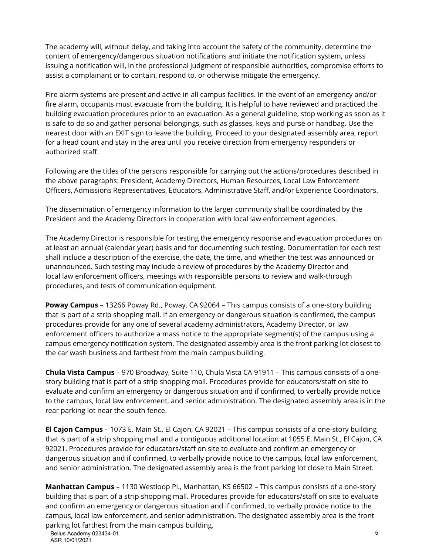The academy will, without delay, and taking into account the safety of the community, determine the content of emergency/dangerous situation notifications and initiate the notification system, unless issuing a notification will, in the professional judgment of responsible authorities, compromise efforts to assist a complainant or to contain, respond to, or otherwise mitigate the emergency.

Fire alarm systems are present and active in all campus facilities. In the event of an emergency and/or fire alarm, occupants must evacuate from the building. It is helpful to have reviewed and practiced the building evacuation procedures prior to an evacuation. As a general guideline, stop working as soon as it is safe to do so and gather personal belongings, such as glasses, keys and purse or handbag. Use the nearest door with an EXIT sign to leave the building. Proceed to your designated assembly area, report for a head count and stay in the area until you receive direction from emergency responders or authorized staff.

Following are the titles of the persons responsible for carrying out the actions/procedures described in the above paragraphs: President, Academy Directors, Human Resources, Local Law Enforcement Officers, Admissions Representatives, Educators, Administrative Staff, and/or Experience Coordinators.

The dissemination of emergency information to the larger community shall be coordinated by the President and the Academy Directors in cooperation with local law enforcement agencies.

The Academy Director is responsible for testing the emergency response and evacuation procedures on at least an annual (calendar year) basis and for documenting such testing. Documentation for each test shall include a description of the exercise, the date, the time, and whether the test was announced or unannounced. Such testing may include a review of procedures by the Academy Director and local law enforcement officers, meetings with responsible persons to review and walk-through procedures, and tests of communication equipment.

**Poway Campus** – 13266 Poway Rd., Poway, CA 92064 – This campus consists of a one-story building that is part of a strip shopping mall. If an emergency or dangerous situation is confirmed, the campus procedures provide for any one of several academy administrators, Academy Director, or law enforcement officers to authorize a mass notice to the appropriate segment(s) of the campus using a campus emergency notification system. The designated assembly area is the front parking lot closest to the car wash business and farthest from the main campus building.

**Chula Vista Campus** – 970 Broadway, Suite 110, Chula Vista CA 91911 – This campus consists of a onestory building that is part of a strip shopping mall. Procedures provide for educators/staff on site to evaluate and confirm an emergency or dangerous situation and if confirmed, to verbally provide notice to the campus, local law enforcement, and senior administration. The designated assembly area is in the rear parking lot near the south fence.

**El Cajon Campus** – 1073 E. Main St., El Cajon, CA 92021 – This campus consists of a one-story building that is part of a strip shopping mall and a contiguous additional location at 1055 E. Main St., El Cajon, CA 92021. Procedures provide for educators/staff on site to evaluate and confirm an emergency or dangerous situation and if confirmed, to verbally provide notice to the campus, local law enforcement, and senior administration. The designated assembly area is the front parking lot close to Main Street.

**Manhattan Campus** – 1130 Westloop Pl., Manhattan, KS 66502 – This campus consists of a one-story building that is part of a strip shopping mall. Procedures provide for educators/staff on site to evaluate and confirm an emergency or dangerous situation and if confirmed, to verbally provide notice to the campus, local law enforcement, and senior administration. The designated assembly area is the front parking lot farthest from the main campus building.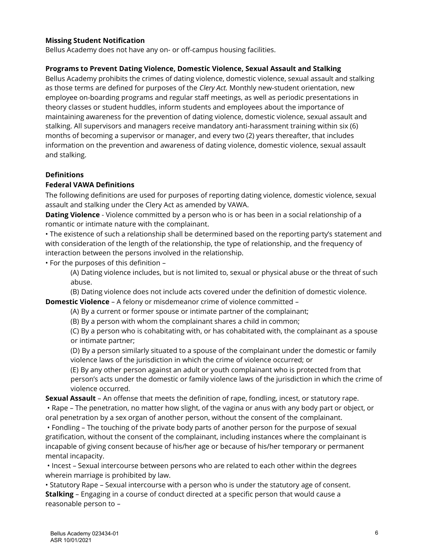### **Missing Student Notification**

Bellus Academy does not have any on- or off-campus housing facilities.

### **Programs to Prevent Dating Violence, Domestic Violence, Sexual Assault and Stalking**

Bellus Academy prohibits the crimes of dating violence, domestic violence, sexual assault and stalking as those terms are defined for purposes of the *Clery Act.* Monthly new-student orientation, new employee on-boarding programs and regular staff meetings, as well as periodic presentations in theory classes or student huddles, inform students and employees about the importance of maintaining awareness for the prevention of dating violence, domestic violence, sexual assault and stalking. All supervisors and managers receive mandatory anti-harassment training within six (6) months of becoming a supervisor or manager, and every two (2) years thereafter, that includes information on the prevention and awareness of dating violence, domestic violence, sexual assault and stalking.

#### **Definitions**

### **Federal VAWA Definitions**

The following definitions are used for purposes of reporting dating violence, domestic violence, sexual assault and stalking under the Clery Act as amended by VAWA.

**Dating Violence** - Violence committed by a person who is or has been in a social relationship of a romantic or intimate nature with the complainant.

• The existence of such a relationship shall be determined based on the reporting party's statement and with consideration of the length of the relationship, the type of relationship, and the frequency of interaction between the persons involved in the relationship.

• For the purposes of this definition –

(A) Dating violence includes, but is not limited to, sexual or physical abuse or the threat of such abuse.

(B) Dating violence does not include acts covered under the definition of domestic violence.

**Domestic Violence** – A felony or misdemeanor crime of violence committed –

(A) By a current or former spouse or intimate partner of the complainant;

(B) By a person with whom the complainant shares a child in common;

(C) By a person who is cohabitating with, or has cohabitated with, the complainant as a spouse or intimate partner;

(D) By a person similarly situated to a spouse of the complainant under the domestic or family violence laws of the jurisdiction in which the crime of violence occurred; or

(E) By any other person against an adult or youth complainant who is protected from that person's acts under the domestic or family violence laws of the jurisdiction in which the crime of violence occurred.

**Sexual Assault** – An offense that meets the definition of rape, fondling, incest, or statutory rape.

• Rape – The penetration, no matter how slight, of the vagina or anus with any body part or object, or oral penetration by a sex organ of another person, without the consent of the complainant.

• Fondling – The touching of the private body parts of another person for the purpose of sexual gratification, without the consent of the complainant, including instances where the complainant is incapable of giving consent because of his/her age or because of his/her temporary or permanent mental incapacity.

• Incest – Sexual intercourse between persons who are related to each other within the degrees wherein marriage is prohibited by law.

• Statutory Rape – Sexual intercourse with a person who is under the statutory age of consent. **Stalking** – Engaging in a course of conduct directed at a specific person that would cause a reasonable person to –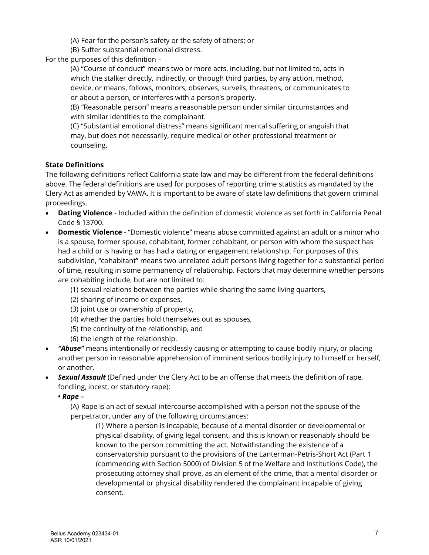(A) Fear for the person's safety or the safety of others; or

(B) Suffer substantial emotional distress.

For the purposes of this definition –

(A) "Course of conduct" means two or more acts, including, but not limited to, acts in which the stalker directly, indirectly, or through third parties, by any action, method, device, or means, follows, monitors, observes, surveils, threatens, or communicates to or about a person, or interferes with a person's property.

(B) "Reasonable person" means a reasonable person under similar circumstances and with similar identities to the complainant.

(C) "Substantial emotional distress" means significant mental suffering or anguish that may, but does not necessarily, require medical or other professional treatment or counseling.

### **State Definitions**

The following definitions reflect California state law and may be different from the federal definitions above. The federal definitions are used for purposes of reporting crime statistics as mandated by the Clery Act as amended by VAWA. It is important to be aware of state law definitions that govern criminal proceedings.

- **Dating Violence** Included within the definition of domestic violence as set forth in California Penal Code § 13700.
- **Domestic Violence** "Domestic violence" means abuse committed against an adult or a minor who is a spouse, former spouse, cohabitant, former cohabitant, or person with whom the suspect has had a child or is having or has had a dating or engagement relationship. For purposes of this subdivision, "cohabitant" means two unrelated adult persons living together for a substantial period of time, resulting in some permanency of relationship. Factors that may determine whether persons are cohabiting include, but are not limited to:
	- (1) sexual relations between the parties while sharing the same living quarters,
	- (2) sharing of income or expenses,
	- (3) joint use or ownership of property,
	- (4) whether the parties hold themselves out as spouses,
	- (5) the continuity of the relationship, and
	- (6) the length of the relationship.
- *"Abuse"* means intentionally or recklessly causing or attempting to cause bodily injury, or placing another person in reasonable apprehension of imminent serious bodily injury to himself or herself, or another.
- *Sexual Assault* (Defined under the Clery Act to be an offense that meets the definition of rape, fondling, incest, or statutory rape):

*• Rape* **–**

(A) Rape is an act of sexual intercourse accomplished with a person not the spouse of the perpetrator, under any of the following circumstances:

(1) Where a person is incapable, because of a mental disorder or developmental or physical disability, of giving legal consent, and this is known or reasonably should be known to the person committing the act. Notwithstanding the existence of a conservatorship pursuant to the provisions of the Lanterman-Petris-Short Act (Part 1 (commencing with Section 5000) of Division 5 of the Welfare and Institutions Code), the prosecuting attorney shall prove, as an element of the crime, that a mental disorder or developmental or physical disability rendered the complainant incapable of giving consent.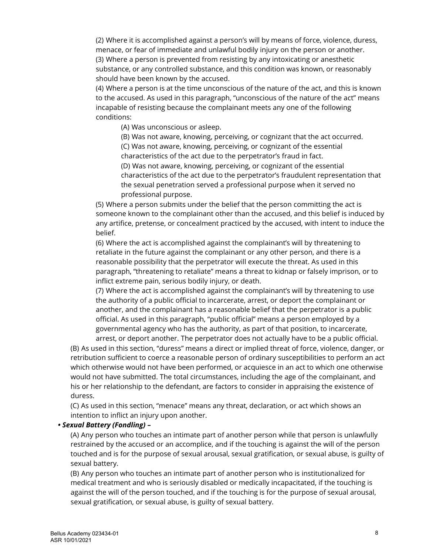(2) Where it is accomplished against a person's will by means of force, violence, duress, menace, or fear of immediate and unlawful bodily injury on the person or another. (3) Where a person is prevented from resisting by any intoxicating or anesthetic substance, or any controlled substance, and this condition was known, or reasonably should have been known by the accused.

(4) Where a person is at the time unconscious of the nature of the act, and this is known to the accused. As used in this paragraph, "unconscious of the nature of the act" means incapable of resisting because the complainant meets any one of the following conditions:

(A) Was unconscious or asleep.

(B) Was not aware, knowing, perceiving, or cognizant that the act occurred. (C) Was not aware, knowing, perceiving, or cognizant of the essential characteristics of the act due to the perpetrator's fraud in fact. (D) Was not aware, knowing, perceiving, or cognizant of the essential characteristics of the act due to the perpetrator's fraudulent representation that the sexual penetration served a professional purpose when it served no professional purpose.

(5) Where a person submits under the belief that the person committing the act is someone known to the complainant other than the accused, and this belief is induced by any artifice, pretense, or concealment practiced by the accused, with intent to induce the belief.

(6) Where the act is accomplished against the complainant's will by threatening to retaliate in the future against the complainant or any other person, and there is a reasonable possibility that the perpetrator will execute the threat. As used in this paragraph, "threatening to retaliate" means a threat to kidnap or falsely imprison, or to inflict extreme pain, serious bodily injury, or death.

(7) Where the act is accomplished against the complainant's will by threatening to use the authority of a public official to incarcerate, arrest, or deport the complainant or another, and the complainant has a reasonable belief that the perpetrator is a public official. As used in this paragraph, "public official" means a person employed by a governmental agency who has the authority, as part of that position, to incarcerate, arrest, or deport another. The perpetrator does not actually have to be a public official.

(B) As used in this section, "duress" means a direct or implied threat of force, violence, danger, or retribution sufficient to coerce a reasonable person of ordinary susceptibilities to perform an act which otherwise would not have been performed, or acquiesce in an act to which one otherwise would not have submitted. The total circumstances, including the age of the complainant, and his or her relationship to the defendant, are factors to consider in appraising the existence of duress.

(C) As used in this section, "menace" means any threat, declaration, or act which shows an intention to inflict an injury upon another.

#### *• Sexual Battery (Fondling) –*

(A) Any person who touches an intimate part of another person while that person is unlawfully restrained by the accused or an accomplice, and if the touching is against the will of the person touched and is for the purpose of sexual arousal, sexual gratification, or sexual abuse, is guilty of sexual battery.

(B) Any person who touches an intimate part of another person who is institutionalized for medical treatment and who is seriously disabled or medically incapacitated, if the touching is against the will of the person touched, and if the touching is for the purpose of sexual arousal, sexual gratification, or sexual abuse, is guilty of sexual battery.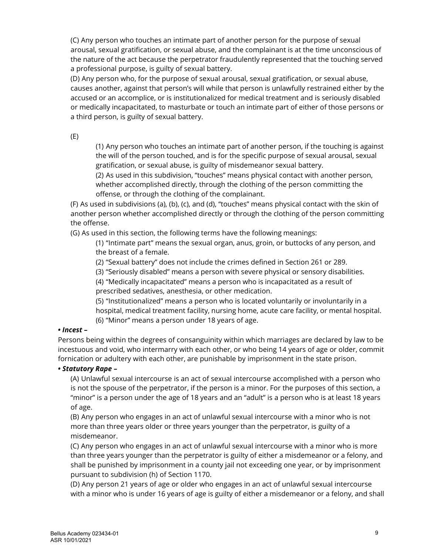(C) Any person who touches an intimate part of another person for the purpose of sexual arousal, sexual gratification, or sexual abuse, and the complainant is at the time unconscious of the nature of the act because the perpetrator fraudulently represented that the touching served a professional purpose, is guilty of sexual battery.

(D) Any person who, for the purpose of sexual arousal, sexual gratification, or sexual abuse, causes another, against that person's will while that person is unlawfully restrained either by the accused or an accomplice, or is institutionalized for medical treatment and is seriously disabled or medically incapacitated, to masturbate or touch an intimate part of either of those persons or a third person, is guilty of sexual battery.

(E)

(1) Any person who touches an intimate part of another person, if the touching is against the will of the person touched, and is for the specific purpose of sexual arousal, sexual gratification, or sexual abuse, is guilty of misdemeanor sexual battery.

(2) As used in this subdivision, "touches" means physical contact with another person, whether accomplished directly, through the clothing of the person committing the offense, or through the clothing of the complainant.

(F) As used in subdivisions (a), (b), (c), and (d), "touches" means physical contact with the skin of another person whether accomplished directly or through the clothing of the person committing the offense.

(G) As used in this section, the following terms have the following meanings:

(1) "Intimate part" means the sexual organ, anus, groin, or buttocks of any person, and the breast of a female.

(2) "Sexual battery" does not include the crimes defined in Section 261 or 289.

(3) "Seriously disabled" means a person with severe physical or sensory disabilities.

(4) "Medically incapacitated" means a person who is incapacitated as a result of prescribed sedatives, anesthesia, or other medication.

(5) "Institutionalized" means a person who is located voluntarily or involuntarily in a hospital, medical treatment facility, nursing home, acute care facility, or mental hospital. (6) "Minor" means a person under 18 years of age.

# *• Incest –*

Persons being within the degrees of consanguinity within which marriages are declared by law to be incestuous and void, who intermarry with each other, or who being 14 years of age or older, commit fornication or adultery with each other, are punishable by imprisonment in the state prison.

# *• Statutory Rape –*

(A) Unlawful sexual intercourse is an act of sexual intercourse accomplished with a person who is not the spouse of the perpetrator, if the person is a minor. For the purposes of this section, a "minor" is a person under the age of 18 years and an "adult" is a person who is at least 18 years of age.

(B) Any person who engages in an act of unlawful sexual intercourse with a minor who is not more than three years older or three years younger than the perpetrator, is guilty of a misdemeanor.

(C) Any person who engages in an act of unlawful sexual intercourse with a minor who is more than three years younger than the perpetrator is guilty of either a misdemeanor or a felony, and shall be punished by imprisonment in a county jail not exceeding one year, or by imprisonment pursuant to subdivision (h) of Section 1170.

(D) Any person 21 years of age or older who engages in an act of unlawful sexual intercourse with a minor who is under 16 years of age is guilty of either a misdemeanor or a felony, and shall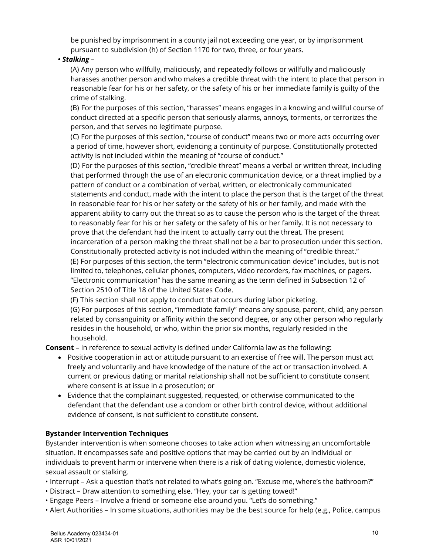be punished by imprisonment in a county jail not exceeding one year, or by imprisonment pursuant to subdivision (h) of Section 1170 for two, three, or four years.

# *• Stalking –*

(A) Any person who willfully, maliciously, and repeatedly follows or willfully and maliciously harasses another person and who makes a credible threat with the intent to place that person in reasonable fear for his or her safety, or the safety of his or her immediate family is guilty of the crime of stalking.

(B) For the purposes of this section, "harasses" means engages in a knowing and willful course of conduct directed at a specific person that seriously alarms, annoys, torments, or terrorizes the person, and that serves no legitimate purpose.

(C) For the purposes of this section, "course of conduct" means two or more acts occurring over a period of time, however short, evidencing a continuity of purpose. Constitutionally protected activity is not included within the meaning of "course of conduct."

(D) For the purposes of this section, "credible threat" means a verbal or written threat, including that performed through the use of an electronic communication device, or a threat implied by a pattern of conduct or a combination of verbal, written, or electronically communicated statements and conduct, made with the intent to place the person that is the target of the threat in reasonable fear for his or her safety or the safety of his or her family, and made with the apparent ability to carry out the threat so as to cause the person who is the target of the threat to reasonably fear for his or her safety or the safety of his or her family. It is not necessary to prove that the defendant had the intent to actually carry out the threat. The present incarceration of a person making the threat shall not be a bar to prosecution under this section. Constitutionally protected activity is not included within the meaning of "credible threat." (E) For purposes of this section, the term "electronic communication device" includes, but is not limited to, telephones, cellular phones, computers, video recorders, fax machines, or pagers. "Electronic communication" has the same meaning as the term defined in Subsection 12 of Section 2510 of Title 18 of the United States Code.

(F) This section shall not apply to conduct that occurs during labor picketing.

(G) For purposes of this section, "immediate family" means any spouse, parent, child, any person related by consanguinity or affinity within the second degree, or any other person who regularly resides in the household, or who, within the prior six months, regularly resided in the household.

**Consent** – In reference to sexual activity is defined under California law as the following:

- Positive cooperation in act or attitude pursuant to an exercise of free will. The person must act freely and voluntarily and have knowledge of the nature of the act or transaction involved. A current or previous dating or marital relationship shall not be sufficient to constitute consent where consent is at issue in a prosecution; or
- Evidence that the complainant suggested, requested, or otherwise communicated to the defendant that the defendant use a condom or other birth control device, without additional evidence of consent, is not sufficient to constitute consent.

# **Bystander Intervention Techniques**

Bystander intervention is when someone chooses to take action when witnessing an uncomfortable situation. It encompasses safe and positive options that may be carried out by an individual or individuals to prevent harm or intervene when there is a risk of dating violence, domestic violence, sexual assault or stalking.

- Interrupt Ask a question that's not related to what's going on. "Excuse me, where's the bathroom?"
- Distract Draw attention to something else. "Hey, your car is getting towed!"
- Engage Peers Involve a friend or someone else around you. "Let's do something."
- Alert Authorities In some situations, authorities may be the best source for help (e.g., Police, campus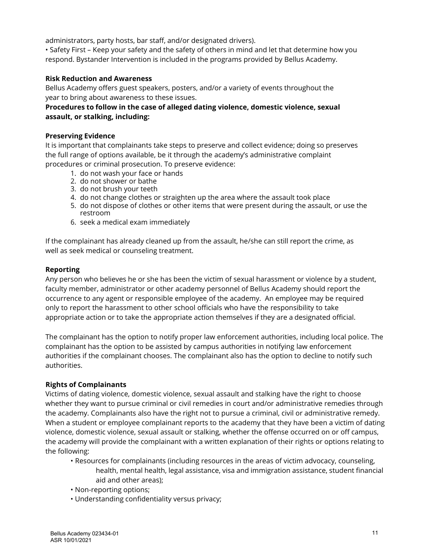administrators, party hosts, bar staff, and/or designated drivers).

• Safety First – Keep your safety and the safety of others in mind and let that determine how you respond. Bystander Intervention is included in the programs provided by Bellus Academy.

### **Risk Reduction and Awareness**

Bellus Academy offers guest speakers, posters, and/or a variety of events throughout the year to bring about awareness to these issues.

### **Procedures to follow in the case of alleged dating violence, domestic violence, sexual assault, or stalking, including:**

#### **Preserving Evidence**

It is important that complainants take steps to preserve and collect evidence; doing so preserves the full range of options available, be it through the academy's administrative complaint procedures or criminal prosecution. To preserve evidence:

- 1. do not wash your face or hands
- 2. do not shower or bathe
- 3. do not brush your teeth
- 4. do not change clothes or straighten up the area where the assault took place
- 5. do not dispose of clothes or other items that were present during the assault, or use the restroom
- 6. seek a medical exam immediately

If the complainant has already cleaned up from the assault, he/she can still report the crime, as well as seek medical or counseling treatment.

### **Reporting**

Any person who believes he or she has been the victim of sexual harassment or violence by a student, faculty member, administrator or other academy personnel of Bellus Academy should report the occurrence to any agent or responsible employee of the academy. An employee may be required only to report the harassment to other school officials who have the responsibility to take appropriate action or to take the appropriate action themselves if they are a designated official.

The complainant has the option to notify proper law enforcement authorities, including local police. The complainant has the option to be assisted by campus authorities in notifying law enforcement authorities if the complainant chooses. The complainant also has the option to decline to notify such authorities.

#### **Rights of Complainants**

Victims of dating violence, domestic violence, sexual assault and stalking have the right to choose whether they want to pursue criminal or civil remedies in court and/or administrative remedies through the academy. Complainants also have the right not to pursue a criminal, civil or administrative remedy. When a student or employee complainant reports to the academy that they have been a victim of dating violence, domestic violence, sexual assault or stalking, whether the offense occurred on or off campus, the academy will provide the complainant with a written explanation of their rights or options relating to the following:

- Resources for complainants (including resources in the areas of victim advocacy, counseling, health, mental health, legal assistance, visa and immigration assistance, student financial aid and other areas);
- Non-reporting options;
- Understanding confidentiality versus privacy;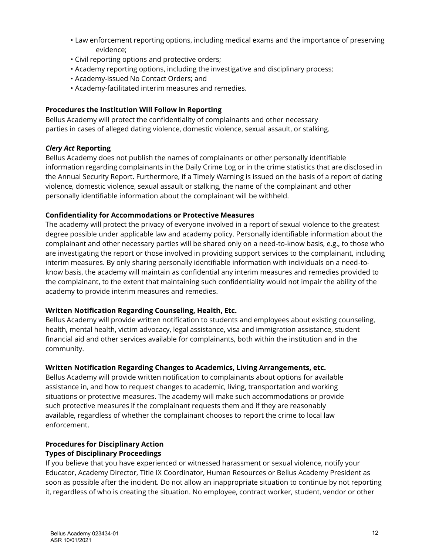- Law enforcement reporting options, including medical exams and the importance of preserving evidence;
- Civil reporting options and protective orders;
- Academy reporting options, including the investigative and disciplinary process;
- Academy-issued No Contact Orders; and
- Academy-facilitated interim measures and remedies.

### **Procedures the Institution Will Follow in Reporting**

Bellus Academy will protect the confidentiality of complainants and other necessary parties in cases of alleged dating violence, domestic violence, sexual assault, or stalking.

### *Clery Act* **Reporting**

Bellus Academy does not publish the names of complainants or other personally identifiable information regarding complainants in the Daily Crime Log or in the crime statistics that are disclosed in the Annual Security Report. Furthermore, if a Timely Warning is issued on the basis of a report of dating violence, domestic violence, sexual assault or stalking, the name of the complainant and other personally identifiable information about the complainant will be withheld.

### **Confidentiality for Accommodations or Protective Measures**

The academy will protect the privacy of everyone involved in a report of sexual violence to the greatest degree possible under applicable law and academy policy. Personally identifiable information about the complainant and other necessary parties will be shared only on a need-to-know basis, e.g., to those who are investigating the report or those involved in providing support services to the complainant, including interim measures. By only sharing personally identifiable information with individuals on a need-toknow basis, the academy will maintain as confidential any interim measures and remedies provided to the complainant, to the extent that maintaining such confidentiality would not impair the ability of the academy to provide interim measures and remedies.

### **Written Notification Regarding Counseling, Health, Etc.**

Bellus Academy will provide written notification to students and employees about existing counseling, health, mental health, victim advocacy, legal assistance, visa and immigration assistance, student financial aid and other services available for complainants, both within the institution and in the community.

#### **Written Notification Regarding Changes to Academics, Living Arrangements, etc.**

Bellus Academy will provide written notification to complainants about options for available assistance in, and how to request changes to academic, living, transportation and working situations or protective measures. The academy will make such accommodations or provide such protective measures if the complainant requests them and if they are reasonably available, regardless of whether the complainant chooses to report the crime to local law enforcement.

### **Procedures for Disciplinary Action Types of Disciplinary Proceedings**

If you believe that you have experienced or witnessed harassment or sexual violence, notify your Educator, Academy Director, Title IX Coordinator, Human Resources or Bellus Academy President as soon as possible after the incident. Do not allow an inappropriate situation to continue by not reporting it, regardless of who is creating the situation. No employee, contract worker, student, vendor or other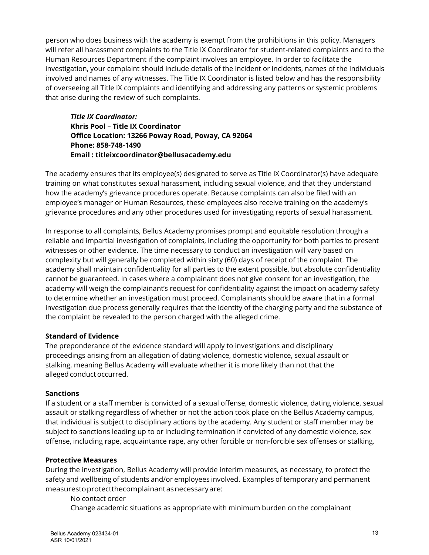person who does business with the academy is exempt from the prohibitions in this policy. Managers will refer all harassment complaints to the Title IX Coordinator for student-related complaints and to the Human Resources Department if the complaint involves an employee. In order to facilitate the investigation, your complaint should include details of the incident or incidents, names of the individuals involved and names of any witnesses. The Title IX Coordinator is listed below and has the responsibility of overseeing all Title IX complaints and identifying and addressing any patterns or systemic problems that arise during the review of such complaints.

*Title IX Coordinator:* **Khris Pool – Title IX Coordinator Office Location: 13266 Poway Road, Poway, CA 92064 Phone: 858-748-1490 Email : [titleixcoordinator@bellusacademy.edu](mailto:titleixcoordinator@bellusacademy.edu)**

The academy ensures that its employee(s) designated to serve as Title IX Coordinator(s) have adequate training on what constitutes sexual harassment, including sexual violence, and that they understand how the academy's grievance procedures operate. Because complaints can also be filed with an employee's manager or Human Resources, these employees also receive training on the academy's grievance procedures and any other procedures used for investigating reports of sexual harassment.

In response to all complaints, Bellus Academy promises prompt and equitable resolution through a reliable and impartial investigation of complaints, including the opportunity for both parties to present witnesses or other evidence. The time necessary to conduct an investigation will vary based on complexity but will generally be completed within sixty (60) days of receipt of the complaint. The academy shall maintain confidentiality for all parties to the extent possible, but absolute confidentiality cannot be guaranteed. In cases where a complainant does not give consent for an investigation, the academy will weigh the complainant's request for confidentiality against the impact on academy safety to determine whether an investigation must proceed. Complainants should be aware that in a formal investigation due process generally requires that the identity of the charging party and the substance of the complaint be revealed to the person charged with the alleged crime.

### **Standard of Evidence**

The preponderance of the evidence standard will apply to investigations and disciplinary proceedings arising from an allegation of dating violence, domestic violence, sexual assault or stalking, meaning Bellus Academy will evaluate whether it is more likely than not that the alleged conduct occurred.

#### **Sanctions**

If a student or a staff member is convicted of a sexual offense, domestic violence, dating violence, sexual assault or stalking regardless of whether or not the action took place on the Bellus Academy campus, that individual is subject to disciplinary actions by the academy. Any student or staff member may be subject to sanctions leading up to or including termination if convicted of any domestic violence, sex offense, including rape, acquaintance rape, any other forcible or non-forcible sex offenses or stalking.

#### **Protective Measures**

During the investigation, Bellus Academy will provide interim measures, as necessary, to protect the safety and wellbeing of students and/or employees involved. Examples of temporary and permanent measurestoprotectthecomplainantasnecessaryare:

### No contact order

Change academic situations as appropriate with minimum burden on the complainant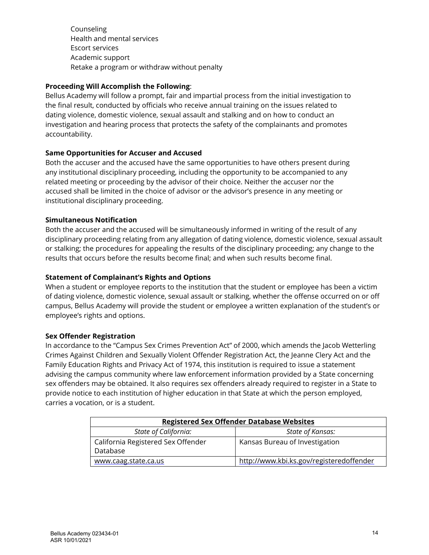Counseling Health and mental services Escort services Academic support Retake a program or withdraw without penalty

# **Proceeding Will Accomplish the Following**:

Bellus Academy will follow a prompt, fair and impartial process from the initial investigation to the final result, conducted by officials who receive annual training on the issues related to dating violence, domestic violence, sexual assault and stalking and on how to conduct an investigation and hearing process that protects the safety of the complainants and promotes accountability.

### **Same Opportunities for Accuser and Accused**

Both the accuser and the accused have the same opportunities to have others present during any institutional disciplinary proceeding, including the opportunity to be accompanied to any related meeting or proceeding by the advisor of their choice. Neither the accuser nor the accused shall be limited in the choice of advisor or the advisor's presence in any meeting or institutional disciplinary proceeding.

# **Simultaneous Notification**

Both the accuser and the accused will be simultaneously informed in writing of the result of any disciplinary proceeding relating from any allegation of dating violence, domestic violence, sexual assault or stalking; the procedures for appealing the results of the disciplinary proceeding; any change to the results that occurs before the results become final; and when such results become final.

# **Statement of Complainant's Rights and Options**

When a student or employee reports to the institution that the student or employee has been a victim of dating violence, domestic violence, sexual assault or stalking, whether the offense occurred on or off campus, Bellus Academy will provide the student or employee a written explanation of the student's or employee's rights and options.

### **Sex Offender Registration**

In accordance to the "Campus Sex Crimes Prevention Act" of 2000, which amends the Jacob Wetterling Crimes Against Children and Sexually Violent Offender Registration Act, the Jeanne Clery Act and the Family Education Rights and Privacy Act of 1974, this institution is required to issue a statement advising the campus community where law enforcement information provided by a State concerning sex offenders may be obtained. It also requires sex offenders already required to register in a State to provide notice to each institution of higher education in that State at which the person employed, carries a vocation, or is a student.

| <b>Registered Sex Offender Database Websites</b> |                                          |  |  |  |  |  |  |  |
|--------------------------------------------------|------------------------------------------|--|--|--|--|--|--|--|
| State of California:                             | State of Kansas:                         |  |  |  |  |  |  |  |
| California Registered Sex Offender               | Kansas Bureau of Investigation           |  |  |  |  |  |  |  |
| Database                                         |                                          |  |  |  |  |  |  |  |
| www.caag.state.ca.us                             | http://www.kbi.ks.gov/registeredoffender |  |  |  |  |  |  |  |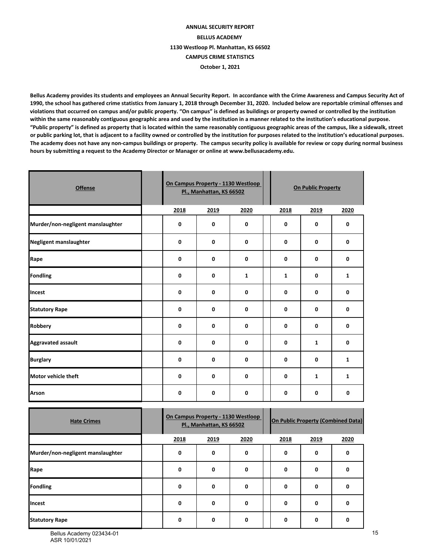# **ANNUAL SECURITY REPORT BELLUS ACADEMY CAMPUS CRIME STATISTICS October 1, 2021 1130 Westloop Pl. Manhattan, KS 66502**

Bellus Academy provides its students and employees an Annual Security Report. In accordance with the Crime Awareness and Campus Security Act of 1990, the school has gathered crime statistics from January 1, 2018 through December 31, 2020. Included below are reportable criminal offenses and violations that occurred on campus and/or public property. "On campus" is defined as buildings or property owned or controlled by the institution within the same reasonably contiguous geographic area and used by the institution in a manner related to the institution's educational purpose. "Public property" is defined as property that is located within the same reasonably contiguous geographic areas of the campus, like a sidewalk, street or public parking lot, that is adjacent to a facility owned or controlled by the institution for purposes related to the institution's educational purposes. The academy does not have any non-campus buildings or property. The campus security policy is available for review or copy during normal business **hours by submitting a request to the Academy Director or Manager or online at www.bellusacademy.edu.**

| <b>Offense</b>                    | On Campus Property - 1130 Westloop<br>Pl., Manhattan, KS 66502 |             |      |  | <b>On Public Property</b> |             |              |  |  |
|-----------------------------------|----------------------------------------------------------------|-------------|------|--|---------------------------|-------------|--------------|--|--|
|                                   | 2018                                                           | 2019        | 2020 |  | 2018                      | 2019        | 2020         |  |  |
| Murder/non-negligent manslaughter | $\mathbf 0$                                                    | $\mathbf 0$ | 0    |  | 0                         | $\mathbf 0$ | $\mathbf 0$  |  |  |
| Negligent manslaughter            | $\mathbf 0$                                                    | $\mathbf 0$ | 0    |  | 0                         | $\mathbf 0$ | $\mathbf 0$  |  |  |
| Rape                              | $\mathbf 0$                                                    | 0           | 0    |  | 0                         | 0           | 0            |  |  |
| <b>Fondling</b>                   | $\mathbf 0$                                                    | 0           | 1    |  | $\mathbf{1}$              | $\mathbf 0$ | $\mathbf{1}$ |  |  |
| Incest                            | $\mathbf 0$                                                    | $\mathbf 0$ | 0    |  | 0                         | $\mathbf 0$ | $\mathbf 0$  |  |  |
| <b>Statutory Rape</b>             | $\mathbf 0$                                                    | $\mathbf 0$ | 0    |  | 0                         | $\mathbf 0$ | $\mathbf 0$  |  |  |
| <b>Robbery</b>                    | $\mathbf 0$                                                    | $\pmb{0}$   | 0    |  | 0                         | $\pmb{0}$   | $\pmb{0}$    |  |  |
| <b>Aggravated assault</b>         | 0                                                              | 0           | 0    |  | 0                         | 1           | 0            |  |  |
| <b>Burglary</b>                   | $\mathbf 0$                                                    | $\mathbf 0$ | 0    |  | 0                         | $\mathbf 0$ | $\mathbf{1}$ |  |  |
| Motor vehicle theft               | $\mathbf 0$                                                    | 0           | 0    |  | 0                         | 1           | $\mathbf{1}$ |  |  |
| <b>Arson</b>                      | 0                                                              | 0           | 0    |  | 0                         | $\mathbf 0$ | $\mathbf 0$  |  |  |

| <b>Hate Crimes</b>                | On Campus Property - 1130 Westloop<br>Pl., Manhattan, KS 66502 |      |             |  | On Public Property (Combined Data) |             |          |
|-----------------------------------|----------------------------------------------------------------|------|-------------|--|------------------------------------|-------------|----------|
|                                   | 2018                                                           | 2019 | 2020        |  | 2018                               | 2019        | 2020     |
| Murder/non-negligent manslaughter | 0                                                              | 0    | 0           |  | 0                                  | 0           | 0        |
| Rape                              | 0                                                              | 0    | 0           |  | 0                                  | 0           | 0        |
| <b>Fondling</b>                   | 0                                                              | 0    | 0           |  | 0                                  | 0           | $\Omega$ |
| Incest                            | 0                                                              | 0    | 0           |  | 0                                  | 0           | 0        |
| <b>Statutory Rape</b>             | 0                                                              | 0    | $\mathbf 0$ |  | 0                                  | $\mathbf 0$ | 0        |

a kacamatan ing Kabupatén Kabupatén

Bellus Academy 023434-01 ASR 10/01/2021